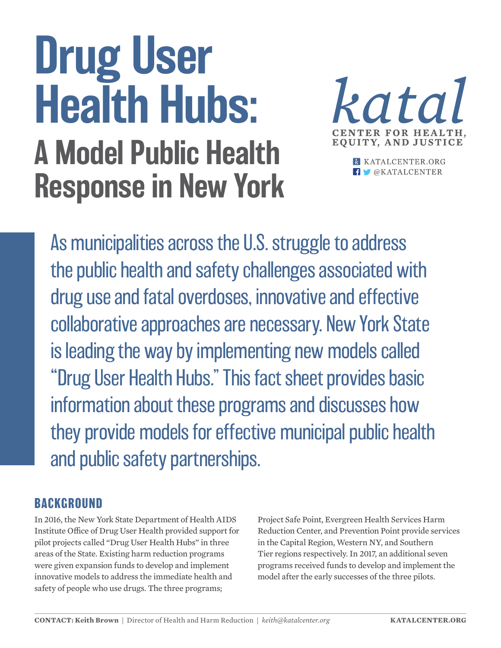## Drug User Health Hubs: A Model Public Health Response in New York



**K** KATALCENTER.ORG **f**  $\bullet$  @KATALCENTER

As municipalities across the U.S. struggle to address the public health and safety challenges associated with drug use and fatal overdoses, innovative and effective collaborative approaches are necessary. New York State is leading the way by implementing new models called "Drug User Health Hubs." This fact sheet provides basic information about these programs and discusses how they provide models for effective municipal public health and public safety partnerships.

## **BACKGROUND**

In 2016, the New York State Department of Health AIDS Institute Office of Drug User Health provided support for pilot projects called "Drug User Health Hubs" in three areas of the State. Existing harm reduction programs were given expansion funds to develop and implement innovative models to address the immediate health and safety of people who use drugs. The three programs;

Project Safe Point, Evergreen Health Services Harm Reduction Center, and Prevention Point provide services in the Capital Region, Western NY, and Southern Tier regions respectively. In 2017, an additional seven programs received funds to develop and implement the model after the early successes of the three pilots.